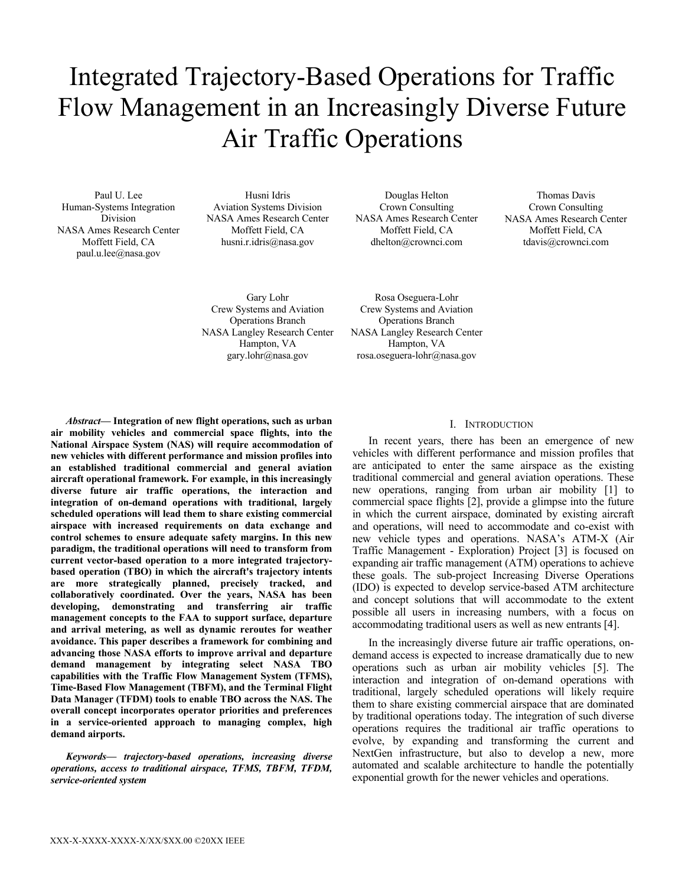# Integrated Trajectory-Based Operations for Traffic Flow Management in an Increasingly Diverse Future Air Traffic Operations

Paul U. Lee Human-Systems Integration Division NASA Ames Research Center Moffett Field, CA paul.u.lee@nasa.gov

Husni Idris Aviation Systems Division NASA Ames Research Center Moffett Field, CA husni.r.idris@nasa.gov

Douglas Helton Crown Consulting NASA Ames Research Center Moffett Field, CA dhelton@crownci.com

Thomas Davis Crown Consulting NASA Ames Research Center Moffett Field, CA tdavis@crownci.com

Gary Lohr Crew Systems and Aviation Operations Branch NASA Langley Research Center Hampton, VA gary.lohr@nasa.gov

Rosa Oseguera-Lohr Crew Systems and Aviation Operations Branch NASA Langley Research Center Hampton, VA rosa.oseguera-lohr@nasa.gov

*Abstract***— Integration of new flight operations, such as urban air mobility vehicles and commercial space flights, into the National Airspace System (NAS) will require accommodation of new vehicles with different performance and mission profiles into an established traditional commercial and general aviation aircraft operational framework. For example, in this increasingly diverse future air traffic operations, the interaction and integration of on-demand operations with traditional, largely scheduled operations will lead them to share existing commercial airspace with increased requirements on data exchange and control schemes to ensure adequate safety margins. In this new paradigm, the traditional operations will need to transform from current vector-based operation to a more integrated trajectorybased operation (TBO) in which the aircraft's trajectory intents are more strategically planned, precisely tracked, and collaboratively coordinated. Over the years, NASA has been developing, demonstrating and transferring air traffic management concepts to the FAA to support surface, departure and arrival metering, as well as dynamic reroutes for weather avoidance. This paper describes a framework for combining and advancing those NASA efforts to improve arrival and departure demand management by integrating select NASA TBO capabilities with the Traffic Flow Management System (TFMS), Time-Based Flow Management (TBFM), and the Terminal Flight Data Manager (TFDM) tools to enable TBO across the NAS. The overall concept incorporates operator priorities and preferences in a service-oriented approach to managing complex, high demand airports.** 

*Keywords— trajectory-based operations, increasing diverse operations, access to traditional airspace, TFMS, TBFM, TFDM, service-oriented system*

### I. INTRODUCTION

In recent years, there has been an emergence of new vehicles with different performance and mission profiles that are anticipated to enter the same airspace as the existing traditional commercial and general aviation operations. These new operations, ranging from urban air mobility [1] to commercial space flights [2], provide a glimpse into the future in which the current airspace, dominated by existing aircraft and operations, will need to accommodate and co-exist with new vehicle types and operations. NASA's ATM-X (Air Traffic Management - Exploration) Project [3] is focused on expanding air traffic management (ATM) operations to achieve these goals. The sub-project Increasing Diverse Operations (IDO) is expected to develop service-based ATM architecture and concept solutions that will accommodate to the extent possible all users in increasing numbers, with a focus on accommodating traditional users as well as new entrants [4].

In the increasingly diverse future air traffic operations, ondemand access is expected to increase dramatically due to new operations such as urban air mobility vehicles [5]. The interaction and integration of on-demand operations with traditional, largely scheduled operations will likely require them to share existing commercial airspace that are dominated by traditional operations today. The integration of such diverse operations requires the traditional air traffic operations to evolve, by expanding and transforming the current and NextGen infrastructure, but also to develop a new, more automated and scalable architecture to handle the potentially exponential growth for the newer vehicles and operations.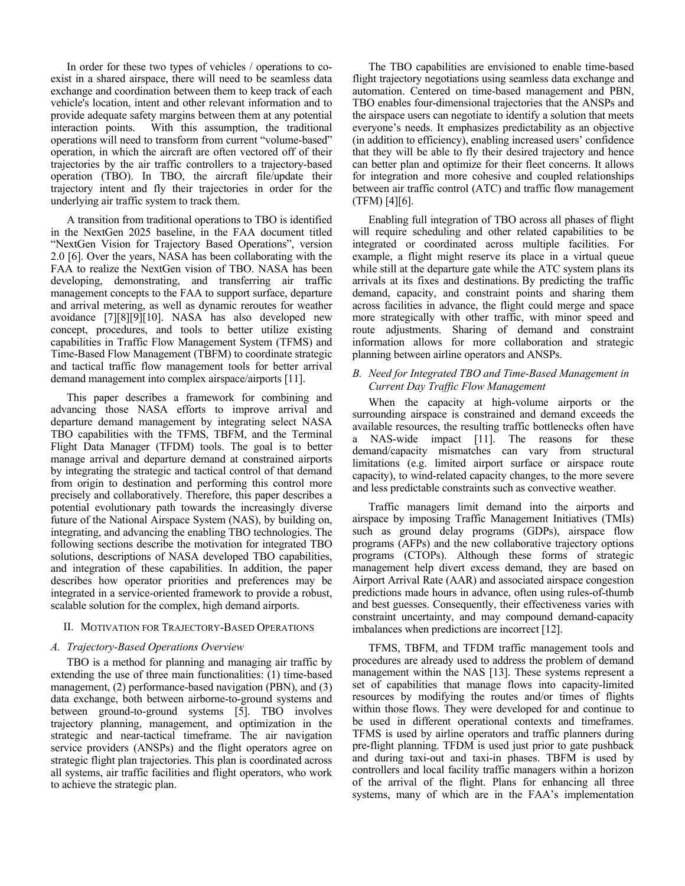In order for these two types of vehicles / operations to coexist in a shared airspace, there will need to be seamless data exchange and coordination between them to keep track of each vehicle's location, intent and other relevant information and to provide adequate safety margins between them at any potential interaction points. With this assumption, the traditional operations will need to transform from current "volume-based" operation, in which the aircraft are often vectored off of their trajectories by the air traffic controllers to a trajectory-based operation (TBO). In TBO, the aircraft file/update their trajectory intent and fly their trajectories in order for the underlying air traffic system to track them.

A transition from traditional operations to TBO is identified in the NextGen 2025 baseline, in the FAA document titled "NextGen Vision for Trajectory Based Operations", version 2.0 [6]. Over the years, NASA has been collaborating with the FAA to realize the NextGen vision of TBO. NASA has been developing, demonstrating, and transferring air traffic management concepts to the FAA to support surface, departure and arrival metering, as well as dynamic reroutes for weather avoidance [7][8][9][10]. NASA has also developed new concept, procedures, and tools to better utilize existing capabilities in Traffic Flow Management System (TFMS) and Time-Based Flow Management (TBFM) to coordinate strategic and tactical traffic flow management tools for better arrival demand management into complex airspace/airports [11].

This paper describes a framework for combining and advancing those NASA efforts to improve arrival and departure demand management by integrating select NASA TBO capabilities with the TFMS, TBFM, and the Terminal Flight Data Manager (TFDM) tools. The goal is to better manage arrival and departure demand at constrained airports by integrating the strategic and tactical control of that demand from origin to destination and performing this control more precisely and collaboratively. Therefore, this paper describes a potential evolutionary path towards the increasingly diverse future of the National Airspace System (NAS), by building on, integrating, and advancing the enabling TBO technologies. The following sections describe the motivation for integrated TBO solutions, descriptions of NASA developed TBO capabilities, and integration of these capabilities. In addition, the paper describes how operator priorities and preferences may be integrated in a service-oriented framework to provide a robust, scalable solution for the complex, high demand airports.

# II. MOTIVATION FOR TRAJECTORY-BASED OPERATIONS

### *A. Trajectory-Based Operations Overview*

TBO is a method for planning and managing air traffic by extending the use of three main functionalities: (1) time-based management, (2) performance-based navigation (PBN), and (3) data exchange, both between airborne-to-ground systems and between ground-to-ground systems [5]. TBO involves trajectory planning, management, and optimization in the strategic and near-tactical timeframe. The air navigation service providers (ANSPs) and the flight operators agree on strategic flight plan trajectories. This plan is coordinated across all systems, air traffic facilities and flight operators, who work to achieve the strategic plan.

The TBO capabilities are envisioned to enable time-based flight trajectory negotiations using seamless data exchange and automation. Centered on time-based management and PBN, TBO enables four-dimensional trajectories that the ANSPs and the airspace users can negotiate to identify a solution that meets everyone's needs. It emphasizes predictability as an objective (in addition to efficiency), enabling increased users' confidence that they will be able to fly their desired trajectory and hence can better plan and optimize for their fleet concerns. It allows for integration and more cohesive and coupled relationships between air traffic control (ATC) and traffic flow management (TFM) [4][6].

Enabling full integration of TBO across all phases of flight will require scheduling and other related capabilities to be integrated or coordinated across multiple facilities. For example, a flight might reserve its place in a virtual queue while still at the departure gate while the ATC system plans its arrivals at its fixes and destinations. By predicting the traffic demand, capacity, and constraint points and sharing them across facilities in advance, the flight could merge and space more strategically with other traffic, with minor speed and route adjustments. Sharing of demand and constraint information allows for more collaboration and strategic planning between airline operators and ANSPs.

# *B. Need for Integrated TBO and Time-Based Management in Current Day Traffic Flow Management*

When the capacity at high-volume airports or the surrounding airspace is constrained and demand exceeds the available resources, the resulting traffic bottlenecks often have a NAS-wide impact [11]. The reasons for these demand/capacity mismatches can vary from structural limitations (e.g. limited airport surface or airspace route capacity), to wind-related capacity changes, to the more severe and less predictable constraints such as convective weather.

Traffic managers limit demand into the airports and airspace by imposing Traffic Management Initiatives (TMIs) such as ground delay programs (GDPs), airspace flow programs (AFPs) and the new collaborative trajectory options programs (CTOPs). Although these forms of strategic management help divert excess demand, they are based on Airport Arrival Rate (AAR) and associated airspace congestion predictions made hours in advance, often using rules-of-thumb and best guesses. Consequently, their effectiveness varies with constraint uncertainty, and may compound demand-capacity imbalances when predictions are incorrect [12].

TFMS, TBFM, and TFDM traffic management tools and procedures are already used to address the problem of demand management within the NAS [13]. These systems represent a set of capabilities that manage flows into capacity-limited resources by modifying the routes and/or times of flights within those flows. They were developed for and continue to be used in different operational contexts and timeframes. TFMS is used by airline operators and traffic planners during pre-flight planning. TFDM is used just prior to gate pushback and during taxi-out and taxi-in phases. TBFM is used by controllers and local facility traffic managers within a horizon of the arrival of the flight. Plans for enhancing all three systems, many of which are in the FAA's implementation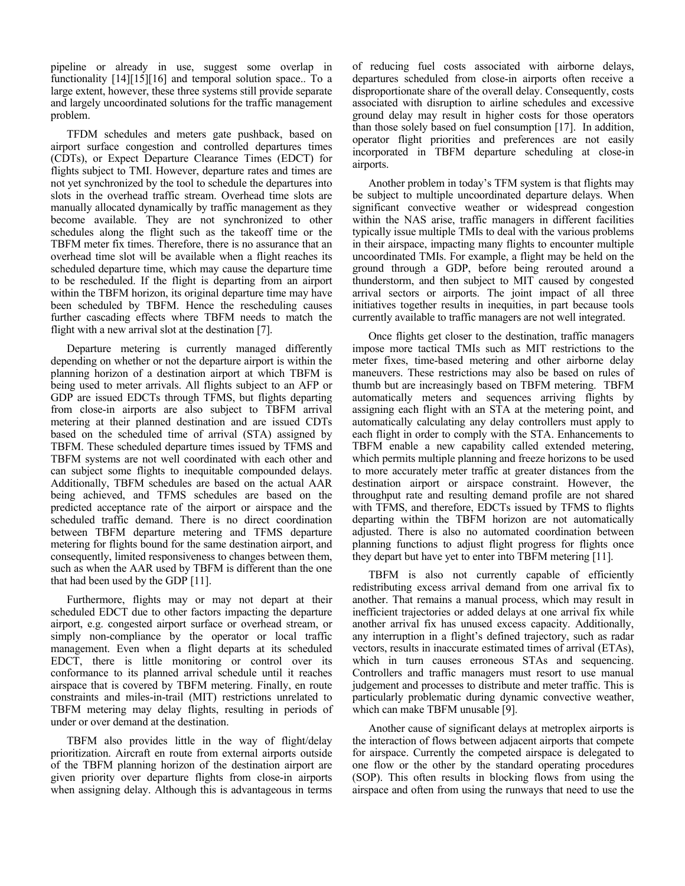pipeline or already in use, suggest some overlap in functionality [14][15][16] and temporal solution space.. To a large extent, however, these three systems still provide separate and largely uncoordinated solutions for the traffic management problem.

TFDM schedules and meters gate pushback, based on airport surface congestion and controlled departures times (CDTs), or Expect Departure Clearance Times (EDCT) for flights subject to TMI. However, departure rates and times are not yet synchronized by the tool to schedule the departures into slots in the overhead traffic stream. Overhead time slots are manually allocated dynamically by traffic management as they become available. They are not synchronized to other schedules along the flight such as the takeoff time or the TBFM meter fix times. Therefore, there is no assurance that an overhead time slot will be available when a flight reaches its scheduled departure time, which may cause the departure time to be rescheduled. If the flight is departing from an airport within the TBFM horizon, its original departure time may have been scheduled by TBFM. Hence the rescheduling causes further cascading effects where TBFM needs to match the flight with a new arrival slot at the destination [7].

Departure metering is currently managed differently depending on whether or not the departure airport is within the planning horizon of a destination airport at which TBFM is being used to meter arrivals. All flights subject to an AFP or GDP are issued EDCTs through TFMS, but flights departing from close-in airports are also subject to TBFM arrival metering at their planned destination and are issued CDTs based on the scheduled time of arrival (STA) assigned by TBFM. These scheduled departure times issued by TFMS and TBFM systems are not well coordinated with each other and can subject some flights to inequitable compounded delays. Additionally, TBFM schedules are based on the actual AAR being achieved, and TFMS schedules are based on the predicted acceptance rate of the airport or airspace and the scheduled traffic demand. There is no direct coordination between TBFM departure metering and TFMS departure metering for flights bound for the same destination airport, and consequently, limited responsiveness to changes between them, such as when the AAR used by TBFM is different than the one that had been used by the GDP [11].

Furthermore, flights may or may not depart at their scheduled EDCT due to other factors impacting the departure airport, e.g. congested airport surface or overhead stream, or simply non-compliance by the operator or local traffic management. Even when a flight departs at its scheduled EDCT, there is little monitoring or control over its conformance to its planned arrival schedule until it reaches airspace that is covered by TBFM metering. Finally, en route constraints and miles-in-trail (MIT) restrictions unrelated to TBFM metering may delay flights, resulting in periods of under or over demand at the destination.

TBFM also provides little in the way of flight/delay prioritization. Aircraft en route from external airports outside of the TBFM planning horizon of the destination airport are given priority over departure flights from close-in airports when assigning delay. Although this is advantageous in terms

of reducing fuel costs associated with airborne delays, departures scheduled from close-in airports often receive a disproportionate share of the overall delay. Consequently, costs associated with disruption to airline schedules and excessive ground delay may result in higher costs for those operators than those solely based on fuel consumption [17]. In addition, operator flight priorities and preferences are not easily incorporated in TBFM departure scheduling at close-in airports.

Another problem in today's TFM system is that flights may be subject to multiple uncoordinated departure delays. When significant convective weather or widespread congestion within the NAS arise, traffic managers in different facilities typically issue multiple TMIs to deal with the various problems in their airspace, impacting many flights to encounter multiple uncoordinated TMIs. For example, a flight may be held on the ground through a GDP, before being rerouted around a thunderstorm, and then subject to MIT caused by congested arrival sectors or airports. The joint impact of all three initiatives together results in inequities, in part because tools currently available to traffic managers are not well integrated.

Once flights get closer to the destination, traffic managers impose more tactical TMIs such as MIT restrictions to the meter fixes, time-based metering and other airborne delay maneuvers. These restrictions may also be based on rules of thumb but are increasingly based on TBFM metering. TBFM automatically meters and sequences arriving flights by assigning each flight with an STA at the metering point, and automatically calculating any delay controllers must apply to each flight in order to comply with the STA. Enhancements to TBFM enable a new capability called extended metering, which permits multiple planning and freeze horizons to be used to more accurately meter traffic at greater distances from the destination airport or airspace constraint. However, the throughput rate and resulting demand profile are not shared with TFMS, and therefore, EDCTs issued by TFMS to flights departing within the TBFM horizon are not automatically adjusted. There is also no automated coordination between planning functions to adjust flight progress for flights once they depart but have yet to enter into TBFM metering [11].

TBFM is also not currently capable of efficiently redistributing excess arrival demand from one arrival fix to another. That remains a manual process, which may result in inefficient trajectories or added delays at one arrival fix while another arrival fix has unused excess capacity. Additionally, any interruption in a flight's defined trajectory, such as radar vectors, results in inaccurate estimated times of arrival (ETAs), which in turn causes erroneous STAs and sequencing. Controllers and traffic managers must resort to use manual judgement and processes to distribute and meter traffic. This is particularly problematic during dynamic convective weather, which can make TBFM unusable [9].

Another cause of significant delays at metroplex airports is the interaction of flows between adjacent airports that compete for airspace. Currently the competed airspace is delegated to one flow or the other by the standard operating procedures (SOP). This often results in blocking flows from using the airspace and often from using the runways that need to use the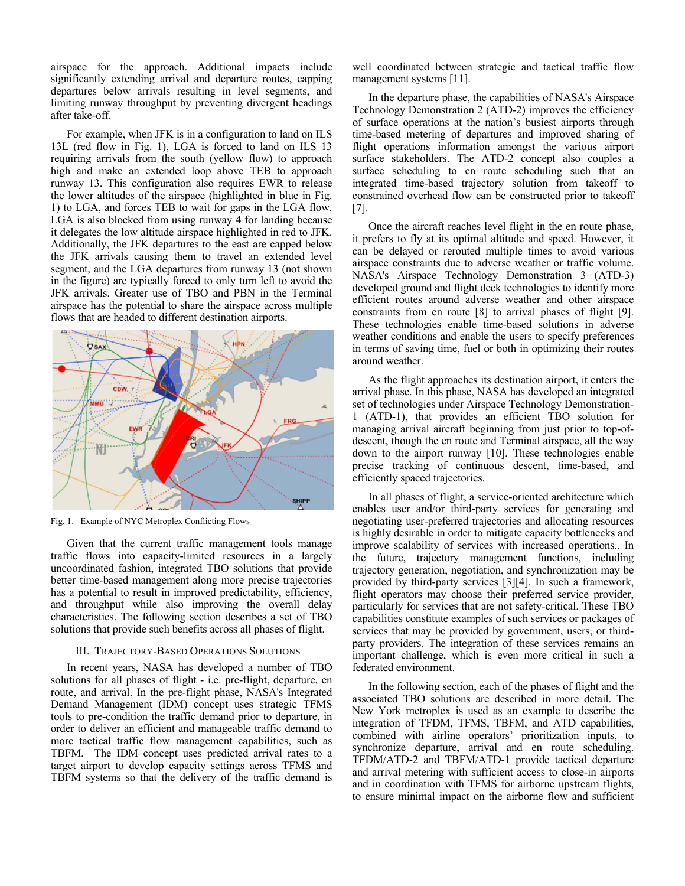airspace for the approach. Additional impacts include significantly extending arrival and departure routes, capping departures below arrivals resulting in level segments, and limiting runway throughput by preventing divergent headings after take-off.

For example, when JFK is in a configuration to land on ILS 13L (red flow in Fig. 1), LGA is forced to land on ILS 13 requiring arrivals from the south (yellow flow) to approach high and make an extended loop above TEB to approach runway 13. This configuration also requires EWR to release the lower altitudes of the airspace (highlighted in blue in Fig. 1) to LGA, and forces TEB to wait for gaps in the LGA flow. LGA is also blocked from using runway 4 for landing because it delegates the low altitude airspace highlighted in red to JFK. Additionally, the JFK departures to the east are capped below the JFK arrivals causing them to travel an extended level segment, and the LGA departures from runway 13 (not shown in the figure) are typically forced to only turn left to avoid the JFK arrivals. Greater use of TBO and PBN in the Terminal airspace has the potential to share the airspace across multiple flows that are headed to different destination airports.



Fig. 1. Example of NYC Metroplex Conflicting Flows

Given that the current traffic management tools manage traffic flows into capacity-limited resources in a largely uncoordinated fashion, integrated TBO solutions that provide better time-based management along more precise trajectories has a potential to result in improved predictability, efficiency, and throughput while also improving the overall delay characteristics. The following section describes a set of TBO solutions that provide such benefits across all phases of flight.

#### III. TRAJECTORY-BASED OPERATIONS SOLUTIONS

In recent years, NASA has developed a number of TBO solutions for all phases of flight - i.e. pre-flight, departure, en route, and arrival. In the pre-flight phase, NASA's Integrated Demand Management (IDM) concept uses strategic TFMS tools to pre-condition the traffic demand prior to departure, in order to deliver an efficient and manageable traffic demand to more tactical traffic flow management capabilities, such as TBFM. The IDM concept uses predicted arrival rates to a target airport to develop capacity settings across TFMS and TBFM systems so that the delivery of the traffic demand is

well coordinated between strategic and tactical traffic flow management systems [11].

In the departure phase, the capabilities of NASA's Airspace Technology Demonstration 2 (ATD-2) improves the efficiency of surface operations at the nation's busiest airports through time-based metering of departures and improved sharing of flight operations information amongst the various airport surface stakeholders. The ATD-2 concept also couples a surface scheduling to en route scheduling such that an integrated time-based trajectory solution from takeoff to constrained overhead flow can be constructed prior to takeoff [7].

Once the aircraft reaches level flight in the en route phase, it prefers to fly at its optimal altitude and speed. However, it can be delayed or rerouted multiple times to avoid various airspace constraints due to adverse weather or traffic volume. NASA's Airspace Technology Demonstration 3 (ATD-3) developed ground and flight deck technologies to identify more efficient routes around adverse weather and other airspace constraints from en route [8] to arrival phases of flight [9]. These technologies enable time-based solutions in adverse weather conditions and enable the users to specify preferences in terms of saving time, fuel or both in optimizing their routes around weather.

As the flight approaches its destination airport, it enters the arrival phase. In this phase, NASA has developed an integrated set of technologies under Airspace Technology Demonstration-1 (ATD-1), that provides an efficient TBO solution for managing arrival aircraft beginning from just prior to top-ofdescent, though the en route and Terminal airspace, all the way down to the airport runway [10]. These technologies enable precise tracking of continuous descent, time-based, and efficiently spaced trajectories.

In all phases of flight, a service-oriented architecture which enables user and/or third-party services for generating and negotiating user-preferred trajectories and allocating resources is highly desirable in order to mitigate capacity bottlenecks and improve scalability of services with increased operations.. In the future, trajectory management functions, including trajectory generation, negotiation, and synchronization may be provided by third-party services [3][4]. In such a framework, flight operators may choose their preferred service provider, particularly for services that are not safety-critical. These TBO capabilities constitute examples of such services or packages of services that may be provided by government, users, or thirdparty providers. The integration of these services remains an important challenge, which is even more critical in such a federated environment.

In the following section, each of the phases of flight and the associated TBO solutions are described in more detail. The New York metroplex is used as an example to describe the integration of TFDM, TFMS, TBFM, and ATD capabilities, combined with airline operators' prioritization inputs, to synchronize departure, arrival and en route scheduling. TFDM/ATD-2 and TBFM/ATD-1 provide tactical departure and arrival metering with sufficient access to close-in airports and in coordination with TFMS for airborne upstream flights, to ensure minimal impact on the airborne flow and sufficient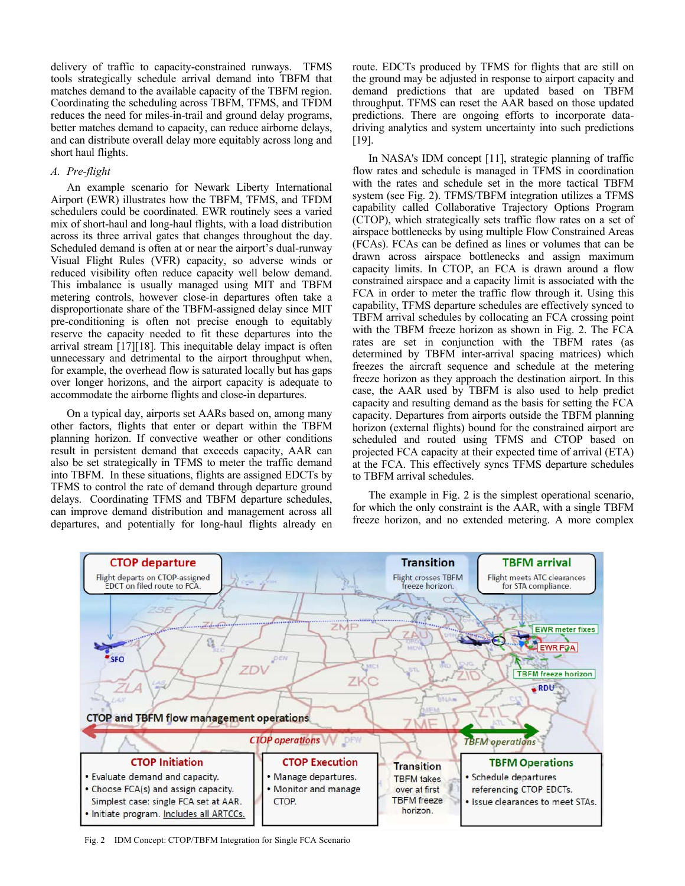delivery of traffic to capacity-constrained runways. TFMS tools strategically schedule arrival demand into TBFM that matches demand to the available capacity of the TBFM region. Coordinating the scheduling across TBFM, TFMS, and TFDM reduces the need for miles-in-trail and ground delay programs, better matches demand to capacity, can reduce airborne delays, and can distribute overall delay more equitably across long and short haul flights.

# *A. Pre-flight*

An example scenario for Newark Liberty International Airport (EWR) illustrates how the TBFM, TFMS, and TFDM schedulers could be coordinated. EWR routinely sees a varied mix of short-haul and long-haul flights, with a load distribution across its three arrival gates that changes throughout the day. Scheduled demand is often at or near the airport's dual-runway Visual Flight Rules (VFR) capacity, so adverse winds or reduced visibility often reduce capacity well below demand. This imbalance is usually managed using MIT and TBFM metering controls, however close-in departures often take a disproportionate share of the TBFM-assigned delay since MIT pre-conditioning is often not precise enough to equitably reserve the capacity needed to fit these departures into the arrival stream [17][18]. This inequitable delay impact is often unnecessary and detrimental to the airport throughput when, for example, the overhead flow is saturated locally but has gaps over longer horizons, and the airport capacity is adequate to accommodate the airborne flights and close-in departures.

On a typical day, airports set AARs based on, among many other factors, flights that enter or depart within the TBFM planning horizon. If convective weather or other conditions result in persistent demand that exceeds capacity, AAR can also be set strategically in TFMS to meter the traffic demand into TBFM. In these situations, flights are assigned EDCTs by TFMS to control the rate of demand through departure ground delays. Coordinating TFMS and TBFM departure schedules, can improve demand distribution and management across all departures, and potentially for long-haul flights already en route. EDCTs produced by TFMS for flights that are still on the ground may be adjusted in response to airport capacity and demand predictions that are updated based on TBFM throughput. TFMS can reset the AAR based on those updated predictions. There are ongoing efforts to incorporate datadriving analytics and system uncertainty into such predictions [19].

In NASA's IDM concept [11], strategic planning of traffic flow rates and schedule is managed in TFMS in coordination with the rates and schedule set in the more tactical TBFM system (see Fig. 2). TFMS/TBFM integration utilizes a TFMS capability called Collaborative Trajectory Options Program (CTOP), which strategically sets traffic flow rates on a set of airspace bottlenecks by using multiple Flow Constrained Areas (FCAs). FCAs can be defined as lines or volumes that can be drawn across airspace bottlenecks and assign maximum capacity limits. In CTOP, an FCA is drawn around a flow constrained airspace and a capacity limit is associated with the FCA in order to meter the traffic flow through it. Using this capability, TFMS departure schedules are effectively synced to TBFM arrival schedules by collocating an FCA crossing point with the TBFM freeze horizon as shown in Fig. 2. The FCA rates are set in conjunction with the TBFM rates (as determined by TBFM inter-arrival spacing matrices) which freezes the aircraft sequence and schedule at the metering freeze horizon as they approach the destination airport. In this case, the AAR used by TBFM is also used to help predict capacity and resulting demand as the basis for setting the FCA capacity. Departures from airports outside the TBFM planning horizon (external flights) bound for the constrained airport are scheduled and routed using TFMS and CTOP based on projected FCA capacity at their expected time of arrival (ETA) at the FCA. This effectively syncs TFMS departure schedules to TBFM arrival schedules.

The example in Fig. 2 is the simplest operational scenario, for which the only constraint is the AAR, with a single TBFM freeze horizon, and no extended metering. A more complex



Fig. 2 IDM Concept: CTOP/TBFM Integration for Single FCA Scenario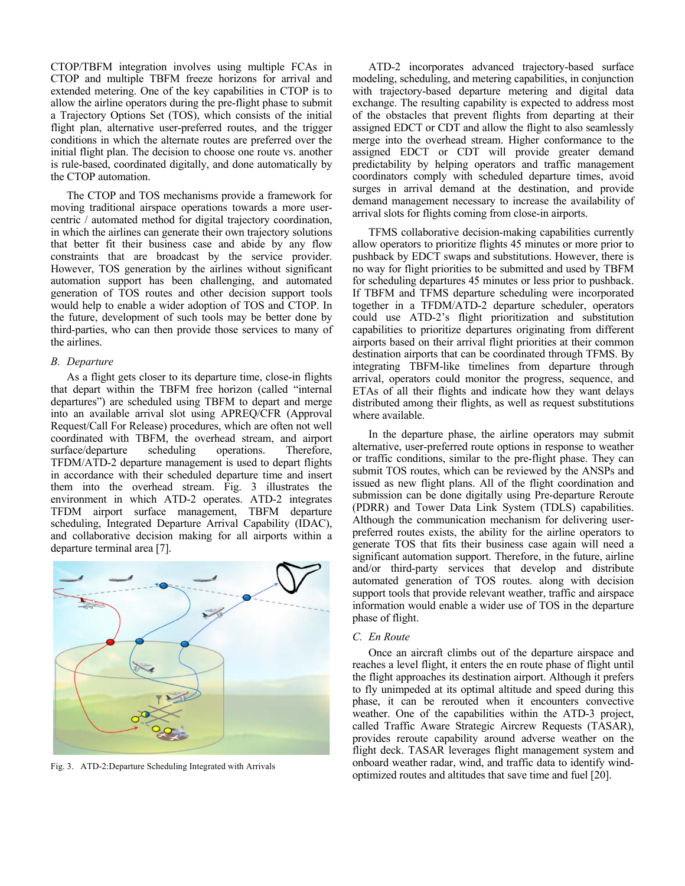CTOP/TBFM integration involves using multiple FCAs in CTOP and multiple TBFM freeze horizons for arrival and extended metering. One of the key capabilities in CTOP is to allow the airline operators during the pre-flight phase to submit a Trajectory Options Set (TOS), which consists of the initial flight plan, alternative user-preferred routes, and the trigger conditions in which the alternate routes are preferred over the initial flight plan. The decision to choose one route vs. another is rule-based, coordinated digitally, and done automatically by the CTOP automation.

The CTOP and TOS mechanisms provide a framework for moving traditional airspace operations towards a more usercentric / automated method for digital trajectory coordination, in which the airlines can generate their own trajectory solutions that better fit their business case and abide by any flow constraints that are broadcast by the service provider. However, TOS generation by the airlines without significant automation support has been challenging, and automated generation of TOS routes and other decision support tools would help to enable a wider adoption of TOS and CTOP. In the future, development of such tools may be better done by third-parties, who can then provide those services to many of the airlines.

# *B. Departure*

As a flight gets closer to its departure time, close-in flights that depart within the TBFM free horizon (called "internal departures") are scheduled using TBFM to depart and merge into an available arrival slot using APREQ/CFR (Approval Request/Call For Release) procedures, which are often not well coordinated with TBFM, the overhead stream, and airport surface/departure scheduling operations. Therefore, TFDM/ATD-2 departure management is used to depart flights in accordance with their scheduled departure time and insert them into the overhead stream. Fig. 3 illustrates the environment in which ATD-2 operates. ATD-2 integrates TFDM airport surface management, TBFM departure scheduling, Integrated Departure Arrival Capability (IDAC), and collaborative decision making for all airports within a departure terminal area [7].



Fig. 3. ATD-2:Departure Scheduling Integrated with Arrivals

ATD-2 incorporates advanced trajectory-based surface modeling, scheduling, and metering capabilities, in conjunction with trajectory-based departure metering and digital data exchange. The resulting capability is expected to address most of the obstacles that prevent flights from departing at their assigned EDCT or CDT and allow the flight to also seamlessly merge into the overhead stream. Higher conformance to the assigned EDCT or CDT will provide greater demand predictability by helping operators and traffic management coordinators comply with scheduled departure times, avoid surges in arrival demand at the destination, and provide demand management necessary to increase the availability of arrival slots for flights coming from close-in airports.

TFMS collaborative decision-making capabilities currently allow operators to prioritize flights 45 minutes or more prior to pushback by EDCT swaps and substitutions. However, there is no way for flight priorities to be submitted and used by TBFM for scheduling departures 45 minutes or less prior to pushback. If TBFM and TFMS departure scheduling were incorporated together in a TFDM/ATD-2 departure scheduler, operators could use ATD-2's flight prioritization and substitution capabilities to prioritize departures originating from different airports based on their arrival flight priorities at their common destination airports that can be coordinated through TFMS. By integrating TBFM-like timelines from departure through arrival, operators could monitor the progress, sequence, and ETAs of all their flights and indicate how they want delays distributed among their flights, as well as request substitutions where available.

In the departure phase, the airline operators may submit alternative, user-preferred route options in response to weather or traffic conditions, similar to the pre-flight phase. They can submit TOS routes, which can be reviewed by the ANSPs and issued as new flight plans. All of the flight coordination and submission can be done digitally using Pre-departure Reroute (PDRR) and Tower Data Link System (TDLS) capabilities. Although the communication mechanism for delivering userpreferred routes exists, the ability for the airline operators to generate TOS that fits their business case again will need a significant automation support. Therefore, in the future, airline and/or third-party services that develop and distribute automated generation of TOS routes. along with decision support tools that provide relevant weather, traffic and airspace information would enable a wider use of TOS in the departure phase of flight.

#### *C. En Route*

Once an aircraft climbs out of the departure airspace and reaches a level flight, it enters the en route phase of flight until the flight approaches its destination airport. Although it prefers to fly unimpeded at its optimal altitude and speed during this phase, it can be rerouted when it encounters convective weather. One of the capabilities within the ATD-3 project, called Traffic Aware Strategic Aircrew Requests (TASAR), provides reroute capability around adverse weather on the flight deck. TASAR leverages flight management system and onboard weather radar, wind, and traffic data to identify windoptimized routes and altitudes that save time and fuel [20].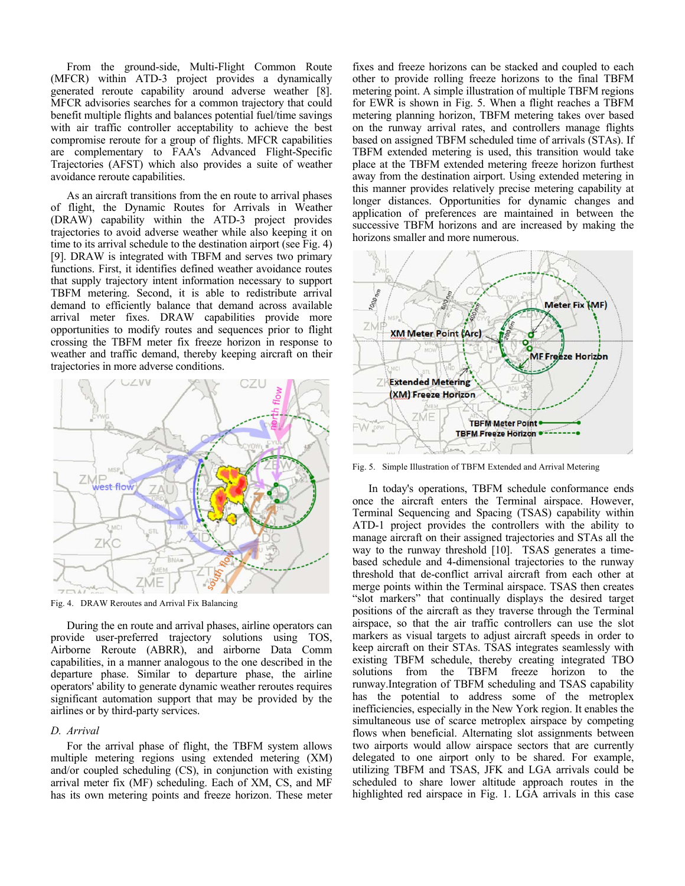From the ground-side, Multi-Flight Common Route (MFCR) within ATD-3 project provides a dynamically generated reroute capability around adverse weather [8]. MFCR advisories searches for a common trajectory that could benefit multiple flights and balances potential fuel/time savings with air traffic controller acceptability to achieve the best compromise reroute for a group of flights. MFCR capabilities are complementary to FAA's Advanced Flight-Specific Trajectories (AFST) which also provides a suite of weather avoidance reroute capabilities.

As an aircraft transitions from the en route to arrival phases of flight, the Dynamic Routes for Arrivals in Weather (DRAW) capability within the ATD-3 project provides trajectories to avoid adverse weather while also keeping it on time to its arrival schedule to the destination airport (see Fig. 4) [9]. DRAW is integrated with TBFM and serves two primary functions. First, it identifies defined weather avoidance routes that supply trajectory intent information necessary to support TBFM metering. Second, it is able to redistribute arrival demand to efficiently balance that demand across available arrival meter fixes. DRAW capabilities provide more opportunities to modify routes and sequences prior to flight crossing the TBFM meter fix freeze horizon in response to weather and traffic demand, thereby keeping aircraft on their trajectories in more adverse conditions.



Fig. 4. DRAW Reroutes and Arrival Fix Balancing

During the en route and arrival phases, airline operators can provide user-preferred trajectory solutions using TOS, Airborne Reroute (ABRR), and airborne Data Comm capabilities, in a manner analogous to the one described in the departure phase. Similar to departure phase, the airline operators' ability to generate dynamic weather reroutes requires significant automation support that may be provided by the airlines or by third-party services.

## *D. Arrival*

For the arrival phase of flight, the TBFM system allows multiple metering regions using extended metering (XM) and/or coupled scheduling (CS), in conjunction with existing arrival meter fix (MF) scheduling. Each of XM, CS, and MF has its own metering points and freeze horizon. These meter fixes and freeze horizons can be stacked and coupled to each other to provide rolling freeze horizons to the final TBFM metering point. A simple illustration of multiple TBFM regions for EWR is shown in Fig. 5. When a flight reaches a TBFM metering planning horizon, TBFM metering takes over based on the runway arrival rates, and controllers manage flights based on assigned TBFM scheduled time of arrivals (STAs). If TBFM extended metering is used, this transition would take place at the TBFM extended metering freeze horizon furthest away from the destination airport. Using extended metering in this manner provides relatively precise metering capability at longer distances. Opportunities for dynamic changes and application of preferences are maintained in between the successive TBFM horizons and are increased by making the horizons smaller and more numerous.



Fig. 5. Simple Illustration of TBFM Extended and Arrival Metering

In today's operations, TBFM schedule conformance ends once the aircraft enters the Terminal airspace. However, Terminal Sequencing and Spacing (TSAS) capability within ATD-1 project provides the controllers with the ability to manage aircraft on their assigned trajectories and STAs all the way to the runway threshold [10]. TSAS generates a timebased schedule and 4-dimensional trajectories to the runway threshold that de-conflict arrival aircraft from each other at merge points within the Terminal airspace. TSAS then creates "slot markers" that continually displays the desired target positions of the aircraft as they traverse through the Terminal airspace, so that the air traffic controllers can use the slot markers as visual targets to adjust aircraft speeds in order to keep aircraft on their STAs. TSAS integrates seamlessly with existing TBFM schedule, thereby creating integrated TBO solutions from the TBFM freeze horizon to the runway.Integration of TBFM scheduling and TSAS capability has the potential to address some of the metroplex inefficiencies, especially in the New York region. It enables the simultaneous use of scarce metroplex airspace by competing flows when beneficial. Alternating slot assignments between two airports would allow airspace sectors that are currently delegated to one airport only to be shared. For example, utilizing TBFM and TSAS, JFK and LGA arrivals could be scheduled to share lower altitude approach routes in the highlighted red airspace in Fig. 1. LGA arrivals in this case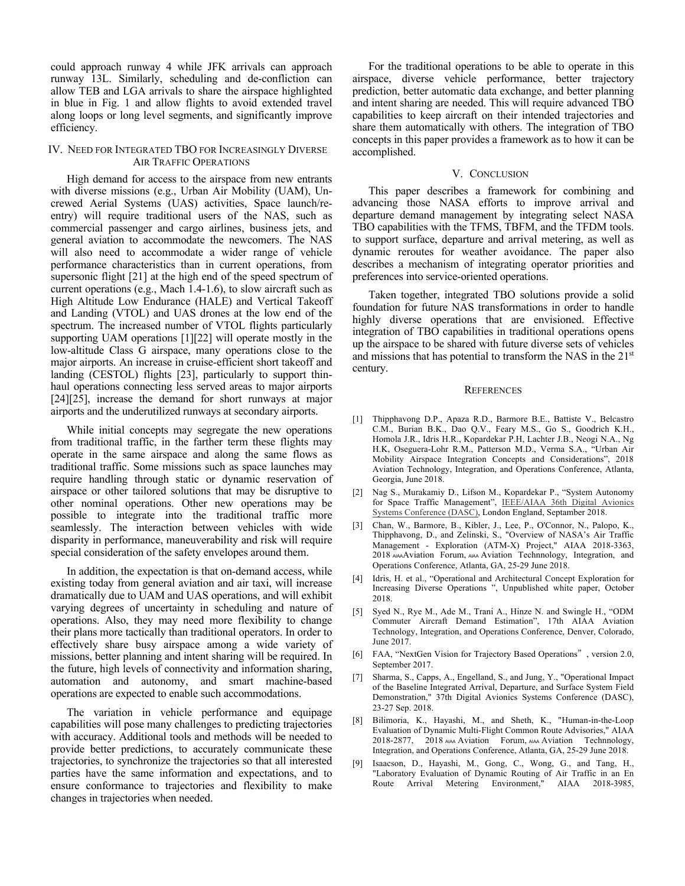could approach runway 4 while JFK arrivals can approach runway 13L. Similarly, scheduling and de-confliction can allow TEB and LGA arrivals to share the airspace highlighted in blue in Fig. 1 and allow flights to avoid extended travel along loops or long level segments, and significantly improve efficiency.

# IV. NEED FOR INTEGRATED TBO FOR INCREASINGLY DIVERSE AIR TRAFFIC OPERATIONS

High demand for access to the airspace from new entrants with diverse missions (e.g., Urban Air Mobility (UAM), Uncrewed Aerial Systems (UAS) activities, Space launch/reentry) will require traditional users of the NAS, such as commercial passenger and cargo airlines, business jets, and general aviation to accommodate the newcomers. The NAS will also need to accommodate a wider range of vehicle performance characteristics than in current operations, from supersonic flight [21] at the high end of the speed spectrum of current operations (e.g., Mach 1.4-1.6), to slow aircraft such as High Altitude Low Endurance (HALE) and Vertical Takeoff and Landing (VTOL) and UAS drones at the low end of the spectrum. The increased number of VTOL flights particularly supporting UAM operations [1][22] will operate mostly in the low-altitude Class G airspace, many operations close to the major airports. An increase in cruise-efficient short takeoff and landing (CESTOL) flights [23], particularly to support thinhaul operations connecting less served areas to major airports [24][25], increase the demand for short runways at major airports and the underutilized runways at secondary airports.

While initial concepts may segregate the new operations from traditional traffic, in the farther term these flights may operate in the same airspace and along the same flows as traditional traffic. Some missions such as space launches may require handling through static or dynamic reservation of airspace or other tailored solutions that may be disruptive to other nominal operations. Other new operations may be possible to integrate into the traditional traffic more seamlessly. The interaction between vehicles with wide disparity in performance, maneuverability and risk will require special consideration of the safety envelopes around them.

In addition, the expectation is that on-demand access, while existing today from general aviation and air taxi, will increase dramatically due to UAM and UAS operations, and will exhibit varying degrees of uncertainty in scheduling and nature of operations. Also, they may need more flexibility to change their plans more tactically than traditional operators. In order to effectively share busy airspace among a wide variety of missions, better planning and intent sharing will be required. In the future, high levels of connectivity and information sharing, automation and autonomy, and smart machine-based operations are expected to enable such accommodations.

The variation in vehicle performance and equipage capabilities will pose many challenges to predicting trajectories with accuracy. Additional tools and methods will be needed to provide better predictions, to accurately communicate these trajectories, to synchronize the trajectories so that all interested parties have the same information and expectations, and to ensure conformance to trajectories and flexibility to make changes in trajectories when needed.

For the traditional operations to be able to operate in this airspace, diverse vehicle performance, better trajectory prediction, better automatic data exchange, and better planning and intent sharing are needed. This will require advanced TBO capabilities to keep aircraft on their intended trajectories and share them automatically with others. The integration of TBO concepts in this paper provides a framework as to how it can be accomplished.

## V. CONCLUSION

This paper describes a framework for combining and advancing those NASA efforts to improve arrival and departure demand management by integrating select NASA TBO capabilities with the TFMS, TBFM, and the TFDM tools. to support surface, departure and arrival metering, as well as dynamic reroutes for weather avoidance. The paper also describes a mechanism of integrating operator priorities and preferences into service-oriented operations.

Taken together, integrated TBO solutions provide a solid foundation for future NAS transformations in order to handle highly diverse operations that are envisioned. Effective integration of TBO capabilities in traditional operations opens up the airspace to be shared with future diverse sets of vehicles and missions that has potential to transform the NAS in the 21<sup>st</sup> century.

#### **REFERENCES**

- [1] Thipphavong D.P., Apaza R.D., Barmore B.E., Battiste V., Belcastro C.M., Burian B.K., Dao Q.V., Feary M.S., Go S., Goodrich K.H., Homola J.R., Idris H.R., Kopardekar P.H, Lachter J.B., Neogi N.A., Ng H.K, Oseguera-Lohr R.M., Patterson M.D., Verma S.A., "Urban Air Mobility Airspace Integration Concepts and Considerations", 2018 Aviation Technology, Integration, and Operations Conference, Atlanta, Georgia, June 2018.
- [2] Nag S., Murakamiy D., Lifson M., Kopardekar P., "System Autonomy for Space Traffic Management", IEEE/AIAA 36th Digital Avionics Systems Conference (DASC), London England, Septamber 2018.
- [3] Chan, W., Barmore, B., Kibler, J., Lee, P., O'Connor, N., Palopo, K., Thipphavong, D., and Zelinski, S., "Overview of NASA's Air Traffic Management - Exploration (ATM-X) Project," AIAA 2018-3363, 2018 AIAAAviation Forum, AIAA Aviation Technnology, Integration, and Operations Conference, Atlanta, GA, 25-29 June 2018.
- [4] Idris, H. et al., "Operational and Architectural Concept Exploration for Increasing Diverse Operations ", Unpublished white paper, October 2018.
- Syed N., Rye M., Ade M., Trani A., Hinze N. and Swingle H., "ODM Commuter Aircraft Demand Estimation", 17th AIAA Aviation Technology, Integration, and Operations Conference, Denver, Colorado, June 2017.
- [6] FAA, "NextGen Vision for Trajectory Based Operations", version 2.0, September 2017.
- [7] Sharma, S., Capps, A., Engelland, S., and Jung, Y., "Operational Impact of the Baseline Integrated Arrival, Departure, and Surface System Field Demonstration," 37th Digital Avionics Systems Conference (DASC), 23-27 Sep. 2018.
- [8] Bilimoria, K., Hayashi, M., and Sheth, K., "Human-in-the-Loop Evaluation of Dynamic Multi-Flight Common Route Advisories," AIAA 2018-2877, 2018 AIAA Aviation Forum, AIAA Aviation Technnology, Integration, and Operations Conference, Atlanta, GA, 25-29 June 2018.
- [9] Isaacson, D., Hayashi, M., Gong, C., Wong, G., and Tang, H., "Laboratory Evaluation of Dynamic Routing of Air Traffic in an En Route Arrival Metering Environment," AIAA 2018-3985,